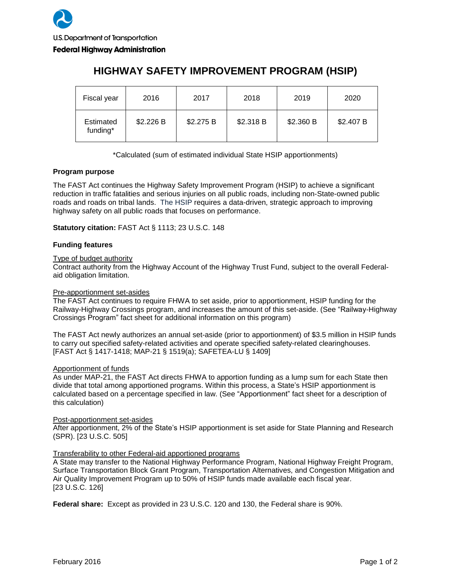| Fiscal year           | 2016      | 2017      | 2018      | 2019      | 2020      |
|-----------------------|-----------|-----------|-----------|-----------|-----------|
| Estimated<br>funding* | \$2.226 B | \$2.275 B | \$2.318 B | \$2.360 B | \$2.407 B |

# **HIGHWAY SAFETY IMPROVEMENT PROGRAM (HSIP)**

\*Calculated (sum of estimated individual State HSIP apportionments)

### **Program purpose**

The FAST Act continues the Highway Safety Improvement Program (HSIP) to achieve a significant reduction in traffic fatalities and serious injuries on all public roads, including non-State-owned public roads and roads on tribal lands. The HSIP requires a data-driven, strategic approach to improving highway safety on all public roads that focuses on performance.

**Statutory citation:** FAST Act § 1113; 23 U.S.C. 148

## **Funding features**

### Type of budget authority

Contract authority from the Highway Account of the Highway Trust Fund, subject to the overall Federalaid obligation limitation.

## Pre-apportionment set-asides

The FAST Act continues to require FHWA to set aside, prior to apportionment, HSIP funding for the Railway-Highway Crossings program, and increases the amount of this set-aside. (See "Railway-Highway Crossings Program" fact sheet for additional information on this program)

The FAST Act newly authorizes an annual set-aside (prior to apportionment) of \$3.5 million in HSIP funds to carry out specified safety-related activities and operate specified safety-related clearinghouses. [FAST Act § 1417-1418; MAP-21 § 1519(a); SAFETEA-LU § 1409]

### Apportionment of funds

As under MAP-21, the FAST Act directs FHWA to apportion funding as a lump sum for each State then divide that total among apportioned programs. Within this process, a State's HSIP apportionment is calculated based on a percentage specified in law. (See "Apportionment" fact sheet for a description of this calculation)

### Post-apportionment set-asides

After apportionment, 2% of the State's HSIP apportionment is set aside for State Planning and Research (SPR). [23 U.S.C. 505]

### Transferability to other Federal-aid apportioned programs

A State may transfer to the National Highway Performance Program, National Highway Freight Program, Surface Transportation Block Grant Program, Transportation Alternatives, and Congestion Mitigation and Air Quality Improvement Program up to 50% of HSIP funds made available each fiscal year. [23 U.S.C. 126]

**Federal share:** Except as provided in 23 U.S.C. 120 and 130, the Federal share is 90%.